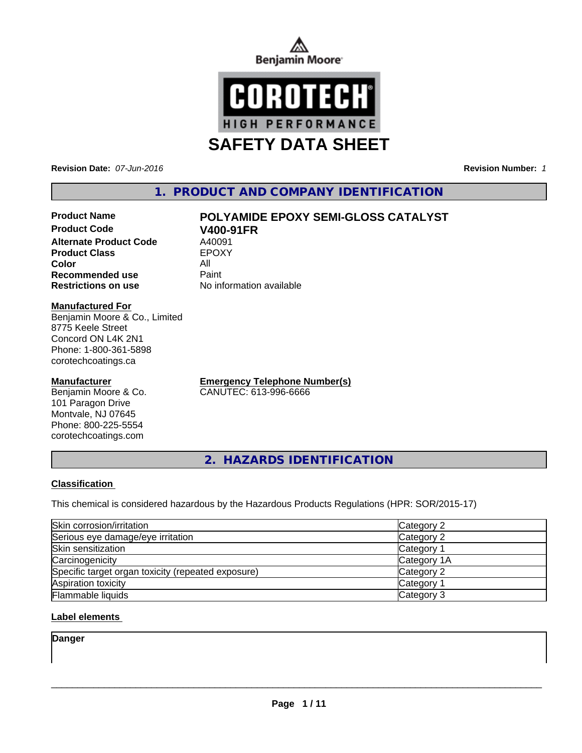



**Revision Date:** *07-Jun-2016* **Revision Number:** *1*

# **1. PRODUCT AND COMPANY IDENTIFICATION**

# **Product Name POLYAMIDE EPOXY SEMI-GLOSS CATALYST**

**Product Code V400-91FR**<br> **Alternate Product Code** A40091 **Alternate Product Code** A40091<br> **Product Class** EPOXY **Product Class Color** All **Recommended use Paint Restrictions on use** No information available

#### **Manufactured For**

Benjamin Moore & Co., Limited 8775 Keele Street Concord ON L4K 2N1 Phone: 1-800-361-5898 corotechcoatings.ca

#### **Manufacturer**

Benjamin Moore & Co. 101 Paragon Drive Montvale, NJ 07645 Phone: 800-225-5554 corotechcoatings.com

**Emergency Telephone Number(s)** CANUTEC: 613-996-6666

**2. HAZARDS IDENTIFICATION**

#### **Classification**

This chemical is considered hazardous by the Hazardous Products Regulations (HPR: SOR/2015-17)

| Skin corrosion/irritation                          | Category 2  |
|----------------------------------------------------|-------------|
| Serious eye damage/eye irritation                  | Category 2  |
| Skin sensitization                                 | Category 1  |
| Carcinogenicity                                    | Category 1A |
| Specific target organ toxicity (repeated exposure) | Category 2  |
| Aspiration toxicity                                | Category 1  |
| <b>Flammable liquids</b>                           | Category 3  |

#### **Label elements**

**Danger**

 $\overline{\phantom{a}}$  ,  $\overline{\phantom{a}}$  ,  $\overline{\phantom{a}}$  ,  $\overline{\phantom{a}}$  ,  $\overline{\phantom{a}}$  ,  $\overline{\phantom{a}}$  ,  $\overline{\phantom{a}}$  ,  $\overline{\phantom{a}}$  ,  $\overline{\phantom{a}}$  ,  $\overline{\phantom{a}}$  ,  $\overline{\phantom{a}}$  ,  $\overline{\phantom{a}}$  ,  $\overline{\phantom{a}}$  ,  $\overline{\phantom{a}}$  ,  $\overline{\phantom{a}}$  ,  $\overline{\phantom{a}}$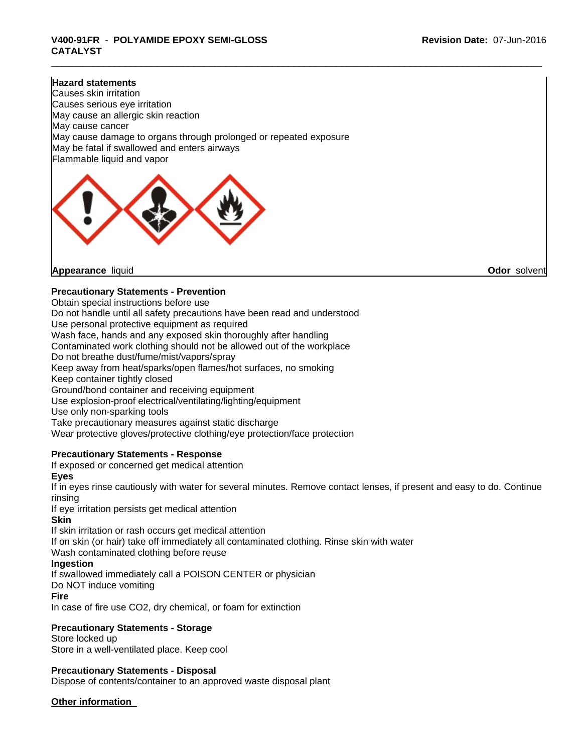# \_\_\_\_\_\_\_\_\_\_\_\_\_\_\_\_\_\_\_\_\_\_\_\_\_\_\_\_\_\_\_\_\_\_\_\_\_\_\_\_\_\_\_\_\_\_\_\_\_\_\_\_\_\_\_\_\_\_\_\_\_\_\_\_\_\_\_\_\_\_\_\_\_\_\_\_\_\_\_\_\_\_\_\_\_\_\_\_\_\_\_\_\_ **V400-91FR** - **POLYAMIDE EPOXY SEMI-GLOSS CATALYST**

#### **Hazard statements**

Causes skin irritation Causes serious eye irritation May cause an allergic skin reaction May cause cancer May cause damage to organs through prolonged or repeated exposure May be fatal if swallowed and enters airways Flammable liquid and vapor



**Appearance** liquid **Odor** solvent

#### **Precautionary Statements - Prevention**

Obtain special instructions before use Do not handle until all safety precautions have been read and understood Use personal protective equipment as required Wash face, hands and any exposed skin thoroughly after handling Contaminated work clothing should not be allowed out of the workplace Do not breathe dust/fume/mist/vapors/spray Keep away from heat/sparks/open flames/hot surfaces, no smoking Keep container tightly closed Ground/bond container and receiving equipment Use explosion-proof electrical/ventilating/lighting/equipment Use only non-sparking tools Take precautionary measures against static discharge Wear protective gloves/protective clothing/eye protection/face protection

#### **Precautionary Statements - Response**

If exposed or concerned get medical attention

#### **Eyes**

If in eyes rinse cautiously with water for several minutes. Remove contact lenses, if present and easy to do. Continue rinsing

If eye irritation persists get medical attention

#### **Skin**

If skin irritation or rash occurs get medical attention

If on skin (or hair) take off immediately all contaminated clothing. Rinse skin with water

Wash contaminated clothing before reuse

#### **Ingestion**

If swallowed immediately call a POISON CENTER or physician

Do NOT induce vomiting

#### **Fire**

In case of fire use CO2, dry chemical, or foam for extinction

#### **Precautionary Statements - Storage**

Store locked up Store in a well-ventilated place. Keep cool

#### **Precautionary Statements - Disposal**

Dispose of contents/container to an approved waste disposal plant

#### **Other information**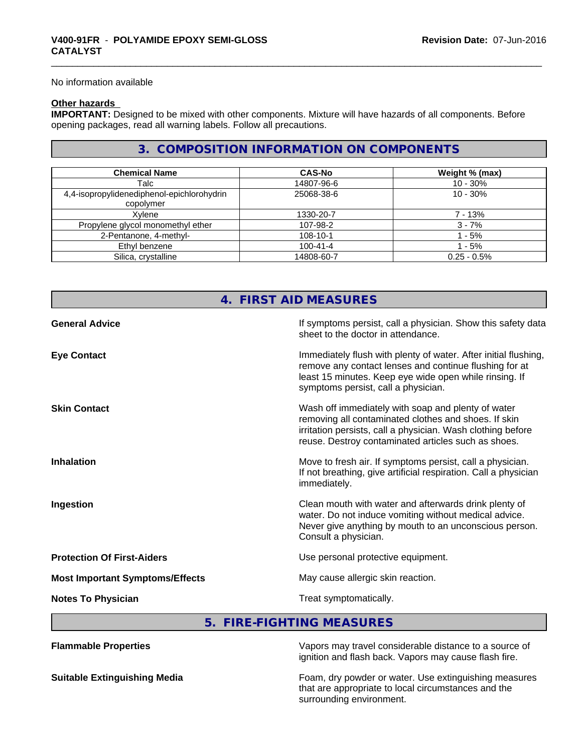No information available

#### **Other hazards**

**IMPORTANT:** Designed to be mixed with other components. Mixture will have hazards of all components. Before opening packages, read all warning labels. Follow all precautions.

## **3. COMPOSITION INFORMATION ON COMPONENTS**

| <b>Chemical Name</b>                       | <b>CAS-No</b>  | Weight % (max) |
|--------------------------------------------|----------------|----------------|
| Talc                                       | 14807-96-6     | $10 - 30%$     |
| 4,4-isopropylidenediphenol-epichlorohydrin | 25068-38-6     | $10 - 30%$     |
| copolymer                                  |                |                |
| Xvlene                                     | 1330-20-7      | 7 - 13%        |
| Propylene glycol monomethyl ether          | 107-98-2       | $3 - 7%$       |
| 2-Pentanone, 4-methyl-                     | $108 - 10 - 1$ | - 5%           |
| Ethyl benzene                              | $100 - 41 - 4$ | $-5%$          |
| Silica, crystalline                        | 14808-60-7     | $0.25 - 0.5%$  |

|                                        | 4. FIRST AID MEASURES                                                                                                                                                                                                            |
|----------------------------------------|----------------------------------------------------------------------------------------------------------------------------------------------------------------------------------------------------------------------------------|
| <b>General Advice</b>                  | If symptoms persist, call a physician. Show this safety data<br>sheet to the doctor in attendance.                                                                                                                               |
| <b>Eye Contact</b>                     | Immediately flush with plenty of water. After initial flushing,<br>remove any contact lenses and continue flushing for at<br>least 15 minutes. Keep eye wide open while rinsing. If<br>symptoms persist, call a physician.       |
| <b>Skin Contact</b>                    | Wash off immediately with soap and plenty of water<br>removing all contaminated clothes and shoes. If skin<br>irritation persists, call a physician. Wash clothing before<br>reuse. Destroy contaminated articles such as shoes. |
| <b>Inhalation</b>                      | Move to fresh air. If symptoms persist, call a physician.<br>If not breathing, give artificial respiration. Call a physician<br>immediately.                                                                                     |
| Ingestion                              | Clean mouth with water and afterwards drink plenty of<br>water. Do not induce vomiting without medical advice.<br>Never give anything by mouth to an unconscious person.<br>Consult a physician.                                 |
| <b>Protection Of First-Aiders</b>      | Use personal protective equipment.                                                                                                                                                                                               |
| <b>Most Important Symptoms/Effects</b> | May cause allergic skin reaction.                                                                                                                                                                                                |
| <b>Notes To Physician</b>              | Treat symptomatically.                                                                                                                                                                                                           |

## **5. FIRE-FIGHTING MEASURES**

**Flammable Properties** Vapors may travel considerable distance to a source of ignition and flash back. Vapors may cause flash fire.

**Suitable Extinguishing Media** Foam, dry powder or water. Use extinguishing measures that are appropriate to local circumstances and the surrounding environment.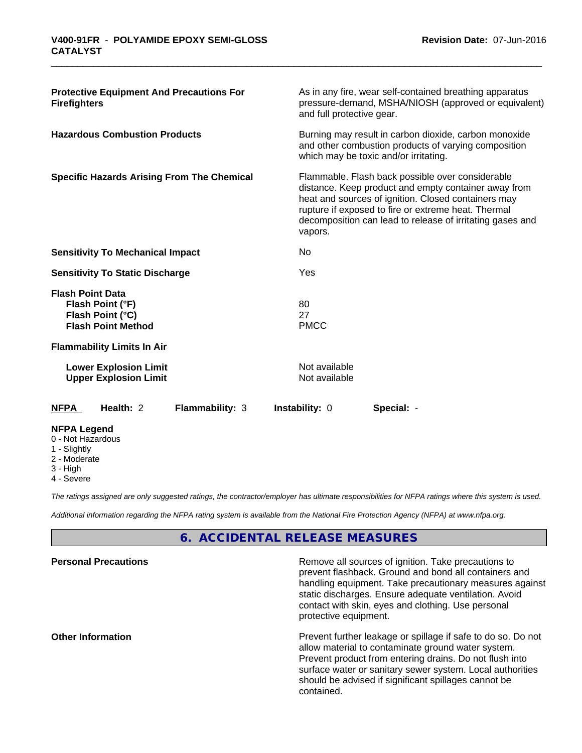| <b>Protective Equipment And Precautions For</b><br><b>Firefighters</b>                       |                                          | As in any fire, wear self-contained breathing apparatus<br>pressure-demand, MSHA/NIOSH (approved or equivalent)<br>and full protective gear.                                                                                                                                        |  |  |  |
|----------------------------------------------------------------------------------------------|------------------------------------------|-------------------------------------------------------------------------------------------------------------------------------------------------------------------------------------------------------------------------------------------------------------------------------------|--|--|--|
| <b>Hazardous Combustion Products</b>                                                         |                                          | Burning may result in carbon dioxide, carbon monoxide<br>and other combustion products of varying composition<br>which may be toxic and/or irritating.                                                                                                                              |  |  |  |
| <b>Specific Hazards Arising From The Chemical</b>                                            | vapors.                                  | Flammable. Flash back possible over considerable<br>distance. Keep product and empty container away from<br>heat and sources of ignition. Closed containers may<br>rupture if exposed to fire or extreme heat. Thermal<br>decomposition can lead to release of irritating gases and |  |  |  |
| <b>Sensitivity To Mechanical Impact</b>                                                      | No                                       |                                                                                                                                                                                                                                                                                     |  |  |  |
| <b>Sensitivity To Static Discharge</b>                                                       | Yes                                      |                                                                                                                                                                                                                                                                                     |  |  |  |
| <b>Flash Point Data</b><br>Flash Point (°F)<br>Flash Point (°C)<br><b>Flash Point Method</b> | 80<br>27<br><b>PMCC</b>                  |                                                                                                                                                                                                                                                                                     |  |  |  |
| <b>Flammability Limits In Air</b>                                                            |                                          |                                                                                                                                                                                                                                                                                     |  |  |  |
| <b>Lower Explosion Limit</b><br><b>Upper Explosion Limit</b>                                 | Not available<br>Not available           |                                                                                                                                                                                                                                                                                     |  |  |  |
| Health: 2<br><b>NFPA</b>                                                                     | <b>Flammability: 3</b><br>Instability: 0 | Special: -                                                                                                                                                                                                                                                                          |  |  |  |
| <b>NFPA Legend</b><br>0 - Not Hazardous<br>1 - Slightly                                      |                                          |                                                                                                                                                                                                                                                                                     |  |  |  |

- 
- 2 Moderate
- 3 High
- 4 Severe

*The ratings assigned are only suggested ratings, the contractor/employer has ultimate responsibilities for NFPA ratings where this system is used.*

*Additional information regarding the NFPA rating system is available from the National Fire Protection Agency (NFPA) at www.nfpa.org.*

# **6. ACCIDENTAL RELEASE MEASURES**

| <b>Personal Precautions</b> | Remove all sources of ignition. Take precautions to<br>prevent flashback. Ground and bond all containers and<br>handling equipment. Take precautionary measures against<br>static discharges. Ensure adequate ventilation. Avoid<br>contact with skin, eyes and clothing. Use personal<br>protective equipment.  |
|-----------------------------|------------------------------------------------------------------------------------------------------------------------------------------------------------------------------------------------------------------------------------------------------------------------------------------------------------------|
| <b>Other Information</b>    | Prevent further leakage or spillage if safe to do so. Do not<br>allow material to contaminate ground water system.<br>Prevent product from entering drains. Do not flush into<br>surface water or sanitary sewer system. Local authorities<br>should be advised if significant spillages cannot be<br>contained. |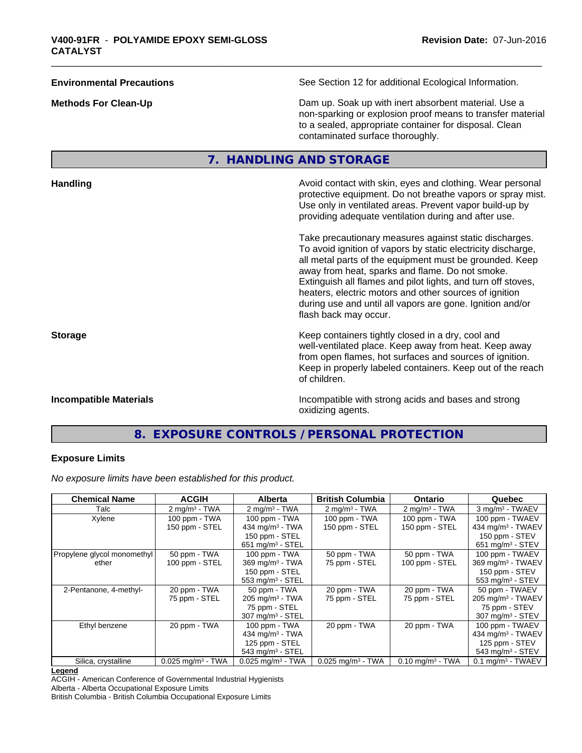| <b>Environmental Precautions</b> | See Section 12 for additional Ecological Information.                                                                                                                                                            |
|----------------------------------|------------------------------------------------------------------------------------------------------------------------------------------------------------------------------------------------------------------|
| <b>Methods For Clean-Up</b>      | Dam up. Soak up with inert absorbent material. Use a<br>non-sparking or explosion proof means to transfer material<br>to a sealed, appropriate container for disposal. Clean<br>contaminated surface thoroughly. |
|                                  |                                                                                                                                                                                                                  |

# **7. HANDLING AND STORAGE**

| <b>Handling</b>               | Avoid contact with skin, eyes and clothing. Wear personal<br>protective equipment. Do not breathe vapors or spray mist.<br>Use only in ventilated areas. Prevent vapor build-up by<br>providing adequate ventilation during and after use.                                                                                                                                                                                                           |
|-------------------------------|------------------------------------------------------------------------------------------------------------------------------------------------------------------------------------------------------------------------------------------------------------------------------------------------------------------------------------------------------------------------------------------------------------------------------------------------------|
|                               | Take precautionary measures against static discharges.<br>To avoid ignition of vapors by static electricity discharge,<br>all metal parts of the equipment must be grounded. Keep<br>away from heat, sparks and flame. Do not smoke.<br>Extinguish all flames and pilot lights, and turn off stoves,<br>heaters, electric motors and other sources of ignition<br>during use and until all vapors are gone. Ignition and/or<br>flash back may occur. |
| <b>Storage</b>                | Keep containers tightly closed in a dry, cool and<br>well-ventilated place. Keep away from heat. Keep away<br>from open flames, hot surfaces and sources of ignition.<br>Keep in properly labeled containers. Keep out of the reach<br>of children.                                                                                                                                                                                                  |
| <b>Incompatible Materials</b> | Incompatible with strong acids and bases and strong<br>oxidizing agents.                                                                                                                                                                                                                                                                                                                                                                             |

# **8. EXPOSURE CONTROLS / PERSONAL PROTECTION**

### **Exposure Limits**

*No exposure limits have been established for this product.*

| <b>Chemical Name</b>        | <b>ACGIH</b>                    | <b>Alberta</b>                  | <b>British Columbia</b>         | <b>Ontario</b>                 | Quebec                          |
|-----------------------------|---------------------------------|---------------------------------|---------------------------------|--------------------------------|---------------------------------|
| Talc                        | $2$ mg/m <sup>3</sup> - TWA     | $2 \text{mq/m}^3$ - TWA         | $2 \text{ mg/m}^3$ - TWA        | $2 \text{ mg/m}^3$ - TWA       | 3 mg/m <sup>3</sup> - TWAEV     |
| Xylene                      | 100 ppm - TWA                   | $100$ ppm $-$ TWA               | 100 ppm - TWA                   | $100$ ppm $-$ TWA              | 100 ppm - TWAEV                 |
|                             | 150 ppm - STEL                  | 434 mg/m $3 - TWA$              | 150 ppm - STEL                  | 150 ppm - STEL                 | 434 mg/m <sup>3</sup> - TWAEV   |
|                             |                                 | 150 ppm - STEL                  |                                 |                                | 150 ppm - STEV                  |
|                             |                                 | 651 mg/m $3 -$ STEL             |                                 |                                | 651 mg/m $3 -$ STEV             |
| Propylene glycol monomethyl | 50 ppm - TWA                    | 100 ppm - TWA                   | 50 ppm - TWA                    | 50 ppm - TWA                   | 100 ppm - TWAEV                 |
| ether                       | 100 ppm - STEL                  | 369 mg/m <sup>3</sup> - TWA     | 75 ppm - STEL                   | 100 ppm - STEL                 | $369$ mg/m <sup>3</sup> - TWAEV |
|                             |                                 | 150 ppm - STEL                  |                                 |                                | 150 ppm - STEV                  |
|                             |                                 | 553 mg/m <sup>3</sup> - STEL    |                                 |                                | 553 mg/m $3 -$ STEV             |
| 2-Pentanone, 4-methyl-      | 20 ppm - TWA                    | 50 ppm - TWA                    | 20 ppm - TWA                    | 20 ppm - TWA                   | 50 ppm - TWAEV                  |
|                             | 75 ppm - STEL                   | $205$ mg/m <sup>3</sup> - TWA   | 75 ppm - STEL                   | 75 ppm - STEL                  | $205$ mg/m <sup>3</sup> - TWAEV |
|                             |                                 | 75 ppm - STEL                   |                                 |                                | 75 ppm - STEV                   |
|                             |                                 | 307 mg/m <sup>3</sup> - STEL    |                                 |                                | $307 \text{ mg/m}^3$ - STEV     |
| Ethyl benzene               | 20 ppm - TWA                    | 100 ppm - TWA                   | 20 ppm - TWA                    | 20 ppm - TWA                   | 100 ppm - TWAEV                 |
|                             |                                 | 434 mg/m $3$ - TWA              |                                 |                                | 434 mg/m <sup>3</sup> - TWAEV   |
|                             |                                 | 125 ppm - STEL                  |                                 |                                | 125 ppm - STEV                  |
|                             |                                 | $543$ mg/m <sup>3</sup> - STEL  |                                 |                                | 543 mg/m <sup>3</sup> - STEV    |
| Silica, crystalline         | $0.025$ mg/m <sup>3</sup> - TWA | $0.025$ mg/m <sup>3</sup> - TWA | $0.025$ mg/m <sup>3</sup> - TWA | $0.10$ mg/m <sup>3</sup> - TWA | $0.1$ mg/m <sup>3</sup> - TWAEV |

#### **Legend**

ACGIH - American Conference of Governmental Industrial Hygienists Alberta - Alberta Occupational Exposure Limits

British Columbia - British Columbia Occupational Exposure Limits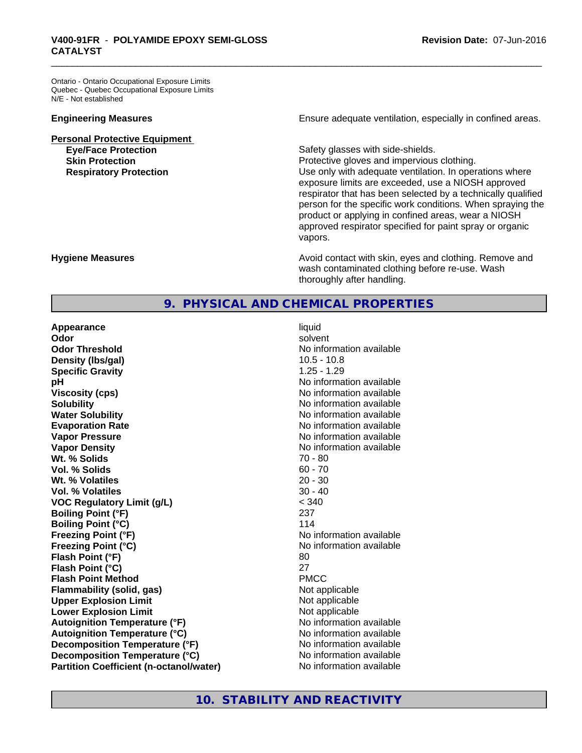Ontario - Ontario Occupational Exposure Limits Quebec - Quebec Occupational Exposure Limits N/E - Not established

**Personal Protective Equipment**

**Engineering Measures Ensure** Ensure adequate ventilation, especially in confined areas.

**Eye/Face Protection Safety glasses with side-shields. Skin Protection Protection Protective gloves and impervious clothing. Respiratory Protection Number 2** Use only with adequate ventilation. In operations where exposure limits are exceeded, use a NIOSH approved respirator that has been selected by a technically qualified person for the specific work conditions. When spraying the product or applying in confined areas, wear a NIOSH approved respirator specified for paint spray or organic vapors.

**Hygiene Measures Avoid contact with skin, eyes and clothing. Remove and Avoid contact with skin, eyes and clothing. Remove and Avoid contact with skin, eyes and clothing. Remove and** wash contaminated clothing before re-use. Wash thoroughly after handling.

# **9. PHYSICAL AND CHEMICAL PROPERTIES**

**Appearance** liquid **Odor** solvent **Odor Threshold**<br> **Odor Threshold**<br> **No information available**<br>
10.5 - 10.8 **Density (Ibs/gal)** 10.5 - 10.8<br> **Specific Gravity** 1.25 - 1.29 **Specific Gravity pH** No information available **Viscosity (cps)** No information available **Solubility Note 2008 Note 2008 Note 2008 Note 2008 Note 2008 Note 2008 Note 2008 Note 2009 Note 2009 Note 2009 Note 2009 Note 2009 Note 2009 Note 2009 Note 2009 Note 2009 Note 2009 Note Water Solubility** No information available **Evaporation Rate No information available No information available Vapor Pressure** No information available **Vapor Density**<br> **We Solids**<br>
We Solids
20 - 80 **Wt. % Solids Vol. % Solids** 60 - 70 **Wt. % Volatiles** 20 - 30<br> **Vol. % Volatiles** 20 - 40 **Vol. % Volatiles VOC Regulatory Limit (g/L)** < 340 **Boiling Point (°F)** 237 **Boiling Point (°C)** 114 **Freezing Point (°F)** No information available **Freezing Point (°C)** No information available **Flash Point (°F)** 80 **Flash Point (°C)** 27 **Flash Point Method** PMCC **Flammability (solid, gas)** Not applicable **Upper Explosion Limit**<br> **Lower Explosion Limit**<br> **Lower Explosion Limit Lower Explosion Limit**<br> **Autoignition Temperature (°F)**<br> **Autoignition Temperature (°F)**<br> **Autoignition Temperature (°F) Autoignition Temperature (°F) Autoignition Temperature (°C)** No information available **Decomposition Temperature (°F)** No information available **Decomposition Temperature (°C)** No information available **Partition Coefficient (n-octanol/water)** No information available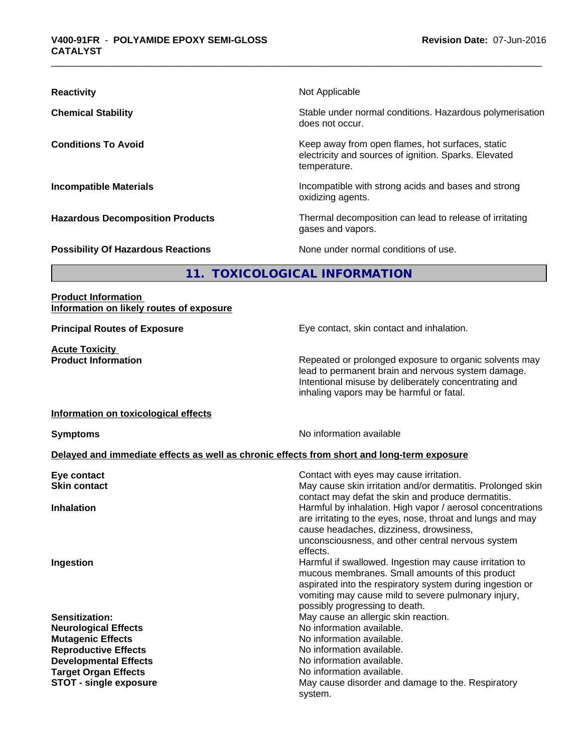| <b>Reactivity</b>                         | Not Applicable                                                                                                            |
|-------------------------------------------|---------------------------------------------------------------------------------------------------------------------------|
| <b>Chemical Stability</b>                 | Stable under normal conditions. Hazardous polymerisation<br>does not occur.                                               |
| <b>Conditions To Avoid</b>                | Keep away from open flames, hot surfaces, static<br>electricity and sources of ignition. Sparks. Elevated<br>temperature. |
| <b>Incompatible Materials</b>             | Incompatible with strong acids and bases and strong<br>oxidizing agents.                                                  |
| <b>Hazardous Decomposition Products</b>   | Thermal decomposition can lead to release of irritating<br>gases and vapors.                                              |
| <b>Possibility Of Hazardous Reactions</b> | None under normal conditions of use.                                                                                      |

# **11. TOXICOLOGICAL INFORMATION**

#### **Product Information Information on likely routes of exposure**

**Acute Toxicity** 

**Principal Routes of Exposure Exposure** Eye contact, skin contact and inhalation.

**Product Information Repeated or prolonged exposure to organic solvents may** lead to permanent brain and nervous system damage. Intentional misuse by deliberately concentrating and inhaling vapors may be harmful or fatal.

#### **Information on toxicological effects**

**Symptoms** No information available

#### **Delayed and immediate effects as well as chronic effects from short and long-term exposure**

| Eye contact<br><b>Skin contact</b> | Contact with eyes may cause irritation.<br>May cause skin irritation and/or dermatitis. Prolonged skin<br>contact may defat the skin and produce dermatitis.                                                                                                     |
|------------------------------------|------------------------------------------------------------------------------------------------------------------------------------------------------------------------------------------------------------------------------------------------------------------|
| <b>Inhalation</b>                  | Harmful by inhalation. High vapor / aerosol concentrations<br>are irritating to the eyes, nose, throat and lungs and may<br>cause headaches, dizziness, drowsiness,<br>unconsciousness, and other central nervous system<br>effects.                             |
| Ingestion                          | Harmful if swallowed. Ingestion may cause irritation to<br>mucous membranes. Small amounts of this product<br>aspirated into the respiratory system during ingestion or<br>vomiting may cause mild to severe pulmonary injury,<br>possibly progressing to death. |
| Sensitization:                     | May cause an allergic skin reaction.                                                                                                                                                                                                                             |
| <b>Neurological Effects</b>        | No information available.                                                                                                                                                                                                                                        |
| <b>Mutagenic Effects</b>           | No information available.                                                                                                                                                                                                                                        |
| <b>Reproductive Effects</b>        | No information available.                                                                                                                                                                                                                                        |
| <b>Developmental Effects</b>       | No information available.                                                                                                                                                                                                                                        |
| <b>Target Organ Effects</b>        | No information available.                                                                                                                                                                                                                                        |
| <b>STOT - single exposure</b>      | May cause disorder and damage to the. Respiratory<br>system.                                                                                                                                                                                                     |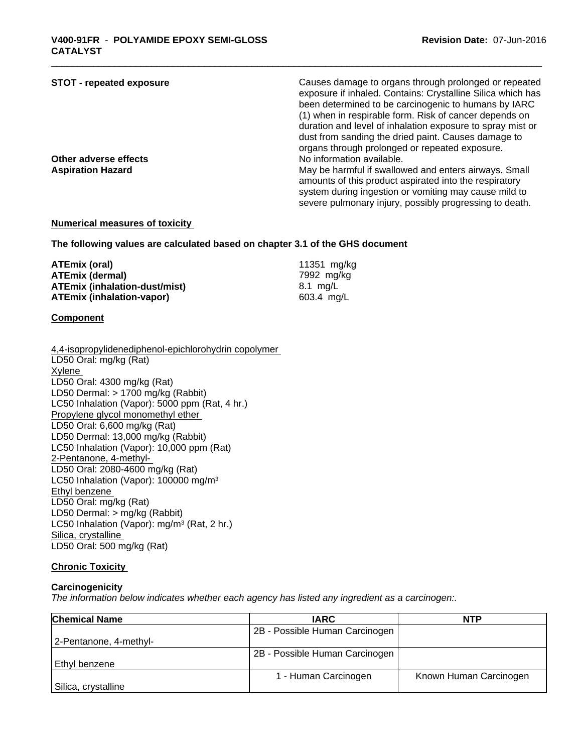| <b>STOT - repeated exposure</b> | Causes damage to organs through prolonged or repeated<br>exposure if inhaled. Contains: Crystalline Silica which has |
|---------------------------------|----------------------------------------------------------------------------------------------------------------------|
|                                 | been determined to be carcinogenic to humans by IARC                                                                 |
|                                 | (1) when in respirable form. Risk of cancer depends on                                                               |
|                                 | duration and level of inhalation exposure to spray mist or                                                           |
|                                 | dust from sanding the dried paint. Causes damage to                                                                  |
|                                 | organs through prolonged or repeated exposure.                                                                       |
| Other adverse effects           | No information available.                                                                                            |
| <b>Aspiration Hazard</b>        | May be harmful if swallowed and enters airways. Small                                                                |
|                                 | amounts of this product aspirated into the respiratory                                                               |
|                                 | system during ingestion or vomiting may cause mild to                                                                |
|                                 | severe pulmonary injury, possibly progressing to death.                                                              |

#### **Numerical measures of toxicity**

**The following values are calculated based on chapter 3.1 of the GHS document**

| ATEmix (oral)                        | 11351 mg/kg            |
|--------------------------------------|------------------------|
| <b>ATEmix (dermal)</b>               | 7992 mg/kg             |
| <b>ATEmix (inhalation-dust/mist)</b> | 8.1 ma/L               |
| <b>ATEmix (inhalation-vapor)</b>     | $603.4 \, \text{mq/L}$ |

#### **Component**

| 4,4-isopropylidenediphenol-epichlorohydrin copolymer    |
|---------------------------------------------------------|
| LD50 Oral: mg/kg (Rat)                                  |
| Xylene                                                  |
| LD50 Oral: 4300 mg/kg (Rat)                             |
| LD50 Dermal: > 1700 mg/kg (Rabbit)                      |
| LC50 Inhalation (Vapor): 5000 ppm (Rat, 4 hr.)          |
| Propylene glycol monomethyl ether                       |
| LD50 Oral: 6,600 mg/kg (Rat)                            |
| LD50 Dermal: 13,000 mg/kg (Rabbit)                      |
| LC50 Inhalation (Vapor): 10,000 ppm (Rat)               |
| 2-Pentanone, 4-methyl-                                  |
| LD50 Oral: 2080-4600 mg/kg (Rat)                        |
| LC50 Inhalation (Vapor): 100000 mg/m <sup>3</sup>       |
| Ethyl benzene                                           |
| LD50 Oral: mg/kg (Rat)                                  |
| LD50 Dermal: $>$ mg/kg (Rabbit)                         |
| LC50 Inhalation (Vapor): mg/m <sup>3</sup> (Rat, 2 hr.) |
| Silica, crystalline                                     |
| LD50 Oral: 500 mg/kg (Rat)                              |
|                                                         |

# **Chronic Toxicity**

# **Carcinogenicity**

*The information below indicateswhether each agency has listed any ingredient as a carcinogen:.*

| <b>Chemical Name</b>   | <b>IARC</b>                    | <b>NTP</b>             |
|------------------------|--------------------------------|------------------------|
|                        | 2B - Possible Human Carcinogen |                        |
| 2-Pentanone, 4-methyl- |                                |                        |
|                        | 2B - Possible Human Carcinogen |                        |
| Ethvl benzene          |                                |                        |
|                        | I - Human Carcinogen           | Known Human Carcinogen |
| Silica, crystalline    |                                |                        |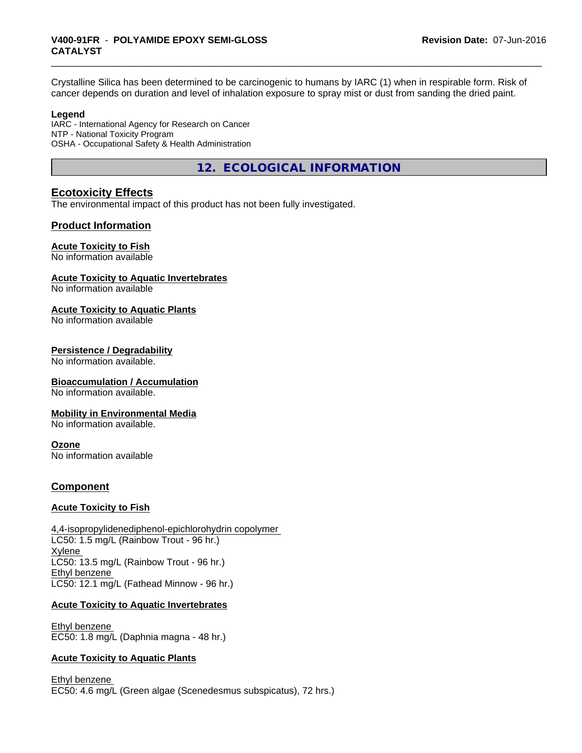# \_\_\_\_\_\_\_\_\_\_\_\_\_\_\_\_\_\_\_\_\_\_\_\_\_\_\_\_\_\_\_\_\_\_\_\_\_\_\_\_\_\_\_\_\_\_\_\_\_\_\_\_\_\_\_\_\_\_\_\_\_\_\_\_\_\_\_\_\_\_\_\_\_\_\_\_\_\_\_\_\_\_\_\_\_\_\_\_\_\_\_\_\_ **V400-91FR** - **POLYAMIDE EPOXY SEMI-GLOSS CATALYST**

Crystalline Silica has been determined to be carcinogenic to humans by IARC (1) when in respirable form. Risk of cancer depends on duration and level of inhalation exposure to spray mist or dust from sanding the dried paint.

#### **Legend**

IARC - International Agency for Research on Cancer NTP - National Toxicity Program OSHA - Occupational Safety & Health Administration

**12. ECOLOGICAL INFORMATION**

# **Ecotoxicity Effects**

The environmental impact of this product has not been fully investigated.

#### **Product Information**

#### **Acute Toxicity to Fish**

No information available

#### **Acute Toxicity to Aquatic Invertebrates**

No information available

#### **Acute Toxicity to Aquatic Plants**

No information available

#### **Persistence / Degradability**

No information available.

#### **Bioaccumulation / Accumulation**

No information available.

#### **Mobility in Environmental Media**

No information available.

#### **Ozone**

No information available

#### **Component**

#### **Acute Toxicity to Fish**

4,4-isopropylidenediphenol-epichlorohydrin copolymer LC50: 1.5 mg/L (Rainbow Trout - 96 hr.) Xylene LC50: 13.5 mg/L (Rainbow Trout - 96 hr.) Ethyl benzene LC50: 12.1 mg/L (Fathead Minnow - 96 hr.)

#### **Acute Toxicity to Aquatic Invertebrates**

Ethyl benzene EC50: 1.8 mg/L (Daphnia magna - 48 hr.)

#### **Acute Toxicity to Aquatic Plants**

Ethyl benzene EC50: 4.6 mg/L (Green algae (Scenedesmus subspicatus), 72 hrs.)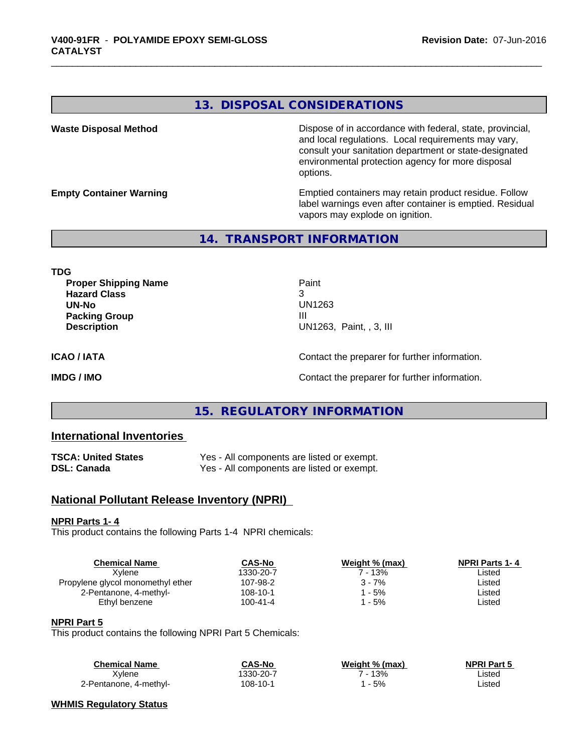#### **13. DISPOSAL CONSIDERATIONS**

Waste Disposal Method **Dispose of in accordance with federal, state, provincial,** and local regulations. Local requirements may vary, consult your sanitation department or state-designated environmental protection agency for more disposal options.

**Empty Container Warning <b>Emptied** Containers may retain product residue. Follow label warnings even after container is emptied. Residual vapors may explode on ignition.

**14. TRANSPORT INFORMATION**

**TDG**

**Proper Shipping Name Paint Hazard Class** 3 **UN-No** UN1263 **Packing Group III Description** UN1263, Paint, , 3, III

**ICAO / IATA ICAO / IATA Contact the preparer for further information.** 

**IMDG / IMO Contact the preparer for further information.** 

#### **15. REGULATORY INFORMATION**

### **International Inventories**

| <b>TSCA: United States</b> | Yes - All components are listed or exempt. |
|----------------------------|--------------------------------------------|
| DSL: Canada                | Yes - All components are listed or exempt. |

#### **National Pollutant Release Inventory (NPRI)**

#### **NPRI Parts 1- 4**

This product contains the following Parts 1-4 NPRI chemicals:

| <b>Chemical Name</b>              | <b>CAS-No</b> | Weight % (max) | <b>NPRI Parts 1-4</b> |  |
|-----------------------------------|---------------|----------------|-----------------------|--|
| Xvlene                            | 1330-20-7     | " - 13%        | ∟isted                |  |
| Propylene glycol monomethyl ether | 107-98-2      | $3 - 7%$       | Listed                |  |
| 2-Pentanone, 4-methyl-            | 108-10-1      | - 5%           | ∟isted                |  |
| Ethyl benzene                     | 100-41-4      | - 5%           | ∟isted                |  |
|                                   |               |                |                       |  |

#### **NPRI Part 5**

This product contains the following NPRI Part 5 Chemicals:

| Chemical Name          | CAS-No    | Weight % (max) | <b>NPRI Part 5</b> |
|------------------------|-----------|----------------|--------------------|
| Xylene                 | 1330-20-7 | $-13%$         | Listed             |
| 2-Pentanone, 4-methyl- | 108-10-1  | $-5%$          | Listed             |

#### **WHMIS Regulatory Status**